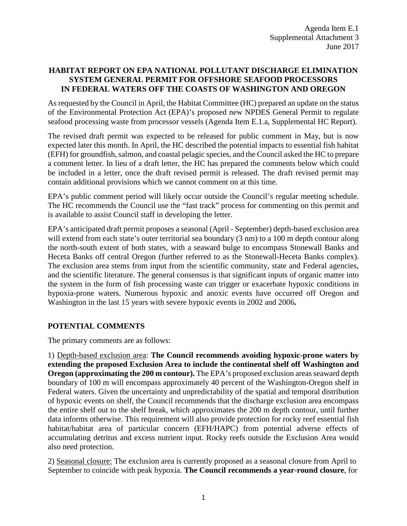# **HABITAT REPORT ON EPA NATIONAL POLLUTANT DISCHARGE ELIMINATION SYSTEM GENERAL PERMIT FOR OFFSHORE SEAFOOD PROCESSORS IN FEDERAL WATERS OFF THE COASTS OF WASHINGTON AND OREGON**

As requested by the Council in April, the Habitat Committee (HC) prepared an update on the status of the Environmental Protection Act (EPA)'s proposed new NPDES General Permit to regulate seafood processing waste from processor vessels (Agenda Item E.1.a, Supplemental HC Report).

The revised draft permit was expected to be released for public comment in May, but is now expected later this month. In April, the HC described the potential impacts to essential fish habitat (EFH) for groundfish, salmon, and coastal pelagic species, and the Council asked the HC to prepare a comment letter. In lieu of a draft letter, the HC has prepared the comments below which could be included in a letter, once the draft revised permit is released. The draft revised permit may contain additional provisions which we cannot comment on at this time.

EPA's public comment period will likely occur outside the Council's regular meeting schedule. The HC recommends the Council use the "fast track" process for commenting on this permit and is available to assist Council staff in developing the letter.

EPA's anticipated draft permit proposes a seasonal (April - September) depth-based exclusion area will extend from each state's outer territorial sea boundary (3 nm) to a 100 m depth contour along the north-south extent of both states, with a seaward bulge to encompass Stonewall Banks and Heceta Banks off central Oregon (further referred to as the Stonewall-Heceta Banks complex). The exclusion area stems from input from the scientific community, state and Federal agencies, and the scientific literature. The general consensus is that significant inputs of organic matter into the system in the form of fish processing waste can trigger or exacerbate hypoxic conditions in hypoxia-prone waters. Numerous hypoxic and anoxic events have occurred off Oregon and Washington in the last 15 years with severe hypoxic events in 2002 and 2006**.**

# **POTENTIAL COMMENTS**

The primary comments are as follows:

1) Depth-based exclusion area: **The Council recommends avoiding hypoxic-prone waters by extending the proposed Exclusion Area to include the continental shelf off Washington and Oregon (approximating the 200 m contour).** The EPA's proposed exclusion areas seaward depth boundary of 100 m will encompass approximately 40 percent of the Washington-Oregon shelf in Federal waters. Given the uncertainty and unpredictability of the spatial and temporal distribution of hypoxic events on shelf, the Council recommends that the discharge exclusion area encompass the entire shelf out to the shelf break, which approximates the 200 m depth contour, until further data informs otherwise. This requirement will also provide protection for rocky reef essential fish habitat/habitat area of particular concern (EFH/HAPC) from potential adverse effects of accumulating detritus and excess nutrient input. Rocky reefs outside the Exclusion Area would also need protection.

2) Seasonal closure: The exclusion area is currently proposed as a seasonal closure from April to September to coincide with peak hypoxia. **The Council recommends a year-round closure**, for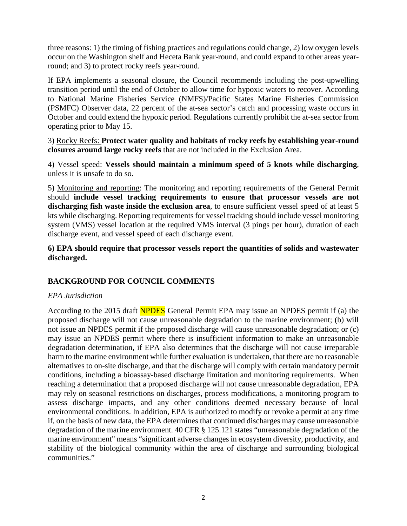three reasons: 1) the timing of fishing practices and regulations could change, 2) low oxygen levels occur on the Washington shelf and Heceta Bank year-round, and could expand to other areas yearround; and 3) to protect rocky reefs year-round.

If EPA implements a seasonal closure, the Council recommends including the post-upwelling transition period until the end of October to allow time for hypoxic waters to recover. According to National Marine Fisheries Service (NMFS)/Pacific States Marine Fisheries Commission (PSMFC) Observer data, 22 percent of the at-sea sector's catch and processing waste occurs in October and could extend the hypoxic period. Regulations currently prohibit the at-sea sector from operating prior to May 15.

3) Rocky Reefs: **Protect water quality and habitats of rocky reefs by establishing year-round closures around large rocky reefs** that are not included in the Exclusion Area.

4) Vessel speed: **Vessels should maintain a minimum speed of 5 knots while discharging**, unless it is unsafe to do so.

5) Monitoring and reporting: The monitoring and reporting requirements of the General Permit should **include vessel tracking requirements to ensure that processor vessels are not discharging fish waste inside the exclusion area**, to ensure sufficient vessel speed of at least 5 kts while discharging. Reporting requirements for vessel tracking should include vessel monitoring system (VMS) vessel location at the required VMS interval (3 pings per hour), duration of each discharge event, and vessel speed of each discharge event.

**6) EPA should require that processor vessels report the quantities of solids and wastewater discharged.**

# **BACKGROUND FOR COUNCIL COMMENTS**

# *EPA Jurisdiction*

According to the 2015 draft NPDES General Permit EPA may issue an NPDES permit if (a) the proposed discharge will not cause unreasonable degradation to the marine environment; (b) will not issue an NPDES permit if the proposed discharge will cause unreasonable degradation; or (c) may issue an NPDES permit where there is insufficient information to make an unreasonable degradation determination, if EPA also determines that the discharge will not cause irreparable harm to the marine environment while further evaluation is undertaken, that there are no reasonable alternatives to on-site discharge, and that the discharge will comply with certain mandatory permit conditions, including a bioassay-based discharge limitation and monitoring requirements. When reaching a determination that a proposed discharge will not cause unreasonable degradation, EPA may rely on seasonal restrictions on discharges, process modifications, a monitoring program to assess discharge impacts, and any other conditions deemed necessary because of local environmental conditions. In addition, EPA is authorized to modify or revoke a permit at any time if, on the basis of new data, the EPA determines that continued discharges may cause unreasonable degradation of the marine environment. 40 CFR § 125.121 states "unreasonable degradation of the marine environment" means "significant adverse changes in ecosystem diversity, productivity, and stability of the biological community within the area of discharge and surrounding biological communities."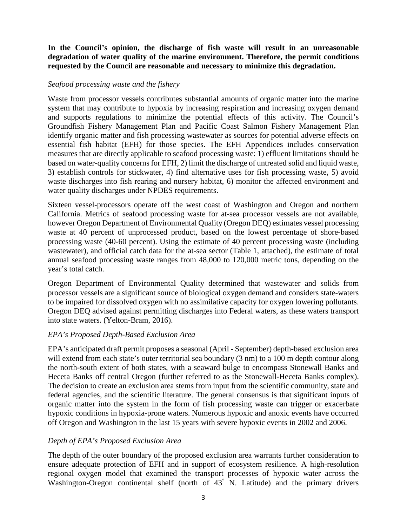### **In the Council's opinion, the discharge of fish waste will result in an unreasonable degradation of water quality of the marine environment. Therefore, the permit conditions requested by the Council are reasonable and necessary to minimize this degradation.**

#### *Seafood processing waste and the fishery*

Waste from processor vessels contributes substantial amounts of organic matter into the marine system that may contribute to hypoxia by increasing respiration and increasing oxygen demand and supports regulations to minimize the potential effects of this activity. The Council's Groundfish Fishery Management Plan and Pacific Coast Salmon Fishery Management Plan identify organic matter and fish processing wastewater as sources for potential adverse effects on essential fish habitat (EFH) for those species. The EFH Appendices includes conservation measures that are directly applicable to seafood processing waste: 1) effluent limitations should be based on water-quality concerns for EFH, 2) limit the discharge of untreated solid and liquid waste, 3) establish controls for stickwater, 4) find alternative uses for fish processing waste, 5) avoid waste discharges into fish rearing and nursery habitat, 6) monitor the affected environment and water quality discharges under NPDES requirements.

Sixteen vessel-processors operate off the west coast of Washington and Oregon and northern California. Metrics of seafood processing waste for at-sea processor vessels are not available, however Oregon Department of Environmental Quality (Oregon DEQ) estimates vessel processing waste at 40 percent of unprocessed product, based on the lowest percentage of shore-based processing waste (40-60 percent). Using the estimate of 40 percent processing waste (including wastewater), and official catch data for the at-sea sector (Table 1, attached), the estimate of total annual seafood processing waste ranges from 48,000 to 120,000 metric tons, depending on the year's total catch.

Oregon Department of Environmental Quality determined that wastewater and solids from processor vessels are a significant source of biological oxygen demand and considers state-waters to be impaired for dissolved oxygen with no assimilative capacity for oxygen lowering pollutants. Oregon DEQ advised against permitting discharges into Federal waters, as these waters transport into state waters. (Yelton-Bram, 2016).

#### *EPA's Proposed Depth-Based Exclusion Area*

EPA's anticipated draft permit proposes a seasonal (April - September) depth-based exclusion area will extend from each state's outer territorial sea boundary (3 nm) to a 100 m depth contour along the north-south extent of both states, with a seaward bulge to encompass Stonewall Banks and Heceta Banks off central Oregon (further referred to as the Stonewall-Heceta Banks complex). The decision to create an exclusion area stems from input from the scientific community, state and federal agencies, and the scientific literature. The general consensus is that significant inputs of organic matter into the system in the form of fish processing waste can trigger or exacerbate hypoxic conditions in hypoxia-prone waters. Numerous hypoxic and anoxic events have occurred off Oregon and Washington in the last 15 years with severe hypoxic events in 2002 and 2006.

# *Depth of EPA's Proposed Exclusion Area*

The depth of the outer boundary of the proposed exclusion area warrants further consideration to ensure adequate protection of EFH and in support of ecosystem resilience. A high-resolution regional oxygen model that examined the transport processes of hypoxic water across the Washington-Oregon continental shelf (north of 43° N. Latitude) and the primary drivers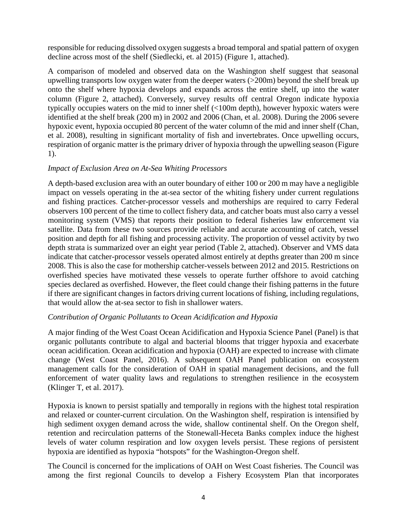responsible for reducing dissolved oxygen suggests a broad temporal and spatial pattern of oxygen decline across most of the shelf (Siedlecki, et. al 2015) (Figure 1, attached).

A comparison of modeled and observed data on the Washington shelf suggest that seasonal upwelling transports low oxygen water from the deeper waters (>200m) beyond the shelf break up onto the shelf where hypoxia develops and expands across the entire shelf, up into the water column (Figure 2, attached). Conversely, survey results off central Oregon indicate hypoxia typically occupies waters on the mid to inner shelf (<100m depth), however hypoxic waters were identified at the shelf break (200 m) in 2002 and 2006 (Chan, et al. 2008). During the 2006 severe hypoxic event, hypoxia occupied 80 percent of the water column of the mid and inner shelf (Chan, et al. 2008), resulting in significant mortality of fish and invertebrates. Once upwelling occurs, respiration of organic matter is the primary driver of hypoxia through the upwelling season (Figure 1).

#### *Impact of Exclusion Area on At-Sea Whiting Processors*

A depth-based exclusion area with an outer boundary of either 100 or 200 m may have a negligible impact on vessels operating in the at-sea sector of the whiting fishery under current regulations and fishing practices. Catcher-processor vessels and motherships are required to carry Federal observers 100 percent of the time to collect fishery data, and catcher boats must also carry a vessel monitoring system (VMS) that reports their position to federal fisheries law enforcement via satellite. Data from these two sources provide reliable and accurate accounting of catch, vessel position and depth for all fishing and processing activity. The proportion of vessel activity by two depth strata is summarized over an eight year period (Table 2, attached). Observer and VMS data indicate that catcher-processor vessels operated almost entirely at depths greater than 200 m since 2008. This is also the case for mothership catcher-vessels between 2012 and 2015. Restrictions on overfished species have motivated these vessels to operate further offshore to avoid catching species declared as overfished. However, the fleet could change their fishing patterns in the future if there are significant changes in factors driving current locations of fishing, including regulations, that would allow the at-sea sector to fish in shallower waters.

# *Contribution of Organic Pollutants to Ocean Acidification and Hypoxia*

A major finding of the West Coast Ocean Acidification and Hypoxia Science Panel (Panel) is that organic pollutants contribute to algal and bacterial blooms that trigger hypoxia and exacerbate ocean acidification. Ocean acidification and hypoxia (OAH) are expected to increase with climate change (West Coast Panel, 2016). A subsequent OAH Panel publication on ecosystem management calls for the consideration of OAH in spatial management decisions, and the full enforcement of water quality laws and regulations to strengthen resilience in the ecosystem (Klinger T, et al. 2017).

Hypoxia is known to persist spatially and temporally in regions with the highest total respiration and relaxed or counter-current circulation. On the Washington shelf, respiration is intensified by high sediment oxygen demand across the wide, shallow continental shelf. On the Oregon shelf, retention and recirculation patterns of the Stonewall-Heceta Banks complex induce the highest levels of water column respiration and low oxygen levels persist. These regions of persistent hypoxia are identified as hypoxia "hotspots" for the Washington-Oregon shelf.

The Council is concerned for the implications of OAH on West Coast fisheries. The Council was among the first regional Councils to develop a Fishery Ecosystem Plan that incorporates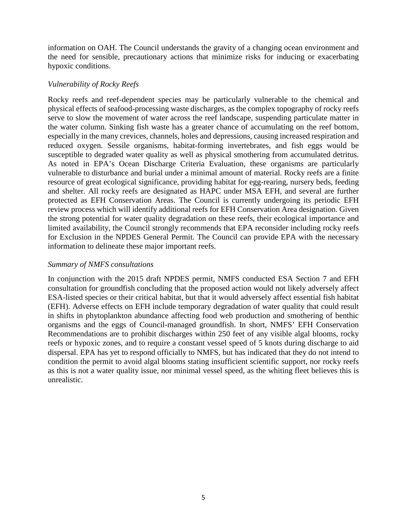information on OAH. The Council understands the gravity of a changing ocean environment and the need for sensible, precautionary actions that minimize risks for inducing or exacerbating hypoxic conditions.

#### *Vulnerability of Rocky Reefs*

Rocky reefs and reef-dependent species may be particularly vulnerable to the chemical and physical effects of seafood-processing waste discharges, as the complex topography of rocky reefs serve to slow the movement of water across the reef landscape, suspending particulate matter in the water column. Sinking fish waste has a greater chance of accumulating on the reef bottom, especially in the many crevices, channels, holes and depressions, causing increased respiration and reduced oxygen. Sessile organisms, habitat-forming invertebrates, and fish eggs would be susceptible to degraded water quality as well as physical smothering from accumulated detritus. As noted in EPA's Ocean Discharge Criteria Evaluation, these organisms are particularly vulnerable to disturbance and burial under a minimal amount of material. Rocky reefs are a finite resource of great ecological significance, providing habitat for egg-rearing, nursery beds, feeding and shelter. All rocky reefs are designated as HAPC under MSA EFH, and several are further protected as EFH Conservation Areas. The Council is currently undergoing its periodic EFH review process which will identify additional reefs for EFH Conservation Area designation. Given the strong potential for water quality degradation on these reefs, their ecological importance and limited availability, the Council strongly recommends that EPA reconsider including rocky reefs for Exclusion in the NPDES General Permit. The Council can provide EPA with the necessary information to delineate these major important reefs.

#### *Summary of NMFS consultations*

In conjunction with the 2015 draft NPDES permit, NMFS conducted ESA Section 7 and EFH consultation for groundfish concluding that the proposed action would not likely adversely affect ESA-listed species or their critical habitat, but that it would adversely affect essential fish habitat (EFH). Adverse effects on EFH include temporary degradation of water quality that could result in shifts in phytoplankton abundance affecting food web production and smothering of benthic organisms and the eggs of Council-managed groundfish. In short, NMFS' EFH Conservation Recommendations are to prohibit discharges within 250 feet of any visible algal blooms, rocky reefs or hypoxic zones, and to require a constant vessel speed of 5 knots during discharge to aid dispersal. EPA has yet to respond officially to NMFS, but has indicated that they do not intend to condition the permit to avoid algal blooms stating insufficient scientific support, nor rocky reefs as this is not a water quality issue, nor minimal vessel speed, as the whiting fleet believes this is unrealistic.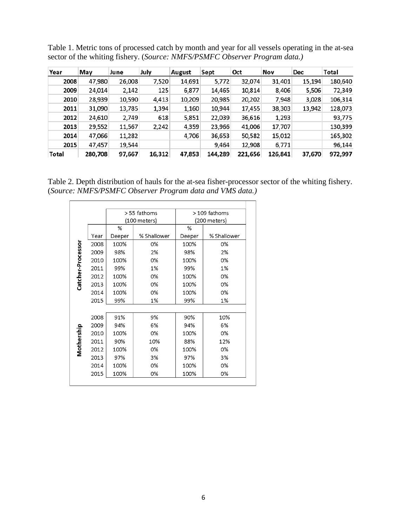| Year  | May     | June   | July   | August | Sept    | Oct     | Nov     | Dec    | Total   |
|-------|---------|--------|--------|--------|---------|---------|---------|--------|---------|
| 2008  | 47,980  | 26,008 | 7,520  | 14,691 | 5,772   | 32,074  | 31,401  | 15,194 | 180,640 |
| 2009  | 24,014  | 2,142  | 125    | 6,877  | 14,465  | 10,814  | 8,406   | 5,506  | 72,349  |
| 2010  | 28,939  | 10,590 | 4,413  | 10,209 | 20,985  | 20,202  | 7,948   | 3,028  | 106,314 |
| 2011  | 31,090  | 13,785 | 1,394  | 1,160  | 10,944  | 17,455  | 38,303  | 13,942 | 128,073 |
| 2012  | 24,610  | 2,749  | 618    | 5,851  | 22,039  | 36,616  | 1,293   |        | 93,775  |
| 2013  | 29,552  | 11,567 | 2,242  | 4,359  | 23,966  | 41,006  | 17,707  |        | 130,399 |
| 2014  | 47,066  | 11,282 |        | 4,706  | 36,653  | 50,582  | 15,012  |        | 165,302 |
| 2015  | 47,457  | 19,544 |        |        | 9,464   | 12,908  | 6,771   |        | 96,144  |
| Total | 280,708 | 97,667 | 16.312 | 47,853 | 144,289 | 221,656 | 126,841 | 37,670 | 972,997 |

Table 1. Metric tons of processed catch by month and year for all vessels operating in the at-sea sector of the whiting fishery. (*Source: NMFS/PSMFC Observer Program data.)*

Table 2. Depth distribution of hauls for the at-sea fisher-processor sector of the whiting fishery. (*Source: NMFS/PSMFC Observer Program data and VMS data.)*

|                   |      |        | > 55 fathoms | > 109 fathoms |             |  |  |
|-------------------|------|--------|--------------|---------------|-------------|--|--|
|                   |      |        | (100 meters) | (200 meters)  |             |  |  |
|                   |      | %      |              | %             |             |  |  |
| Catcher-Processor | Year | Deeper | % Shallower  | Deeper        | % Shallower |  |  |
|                   | 2008 | 100%   | 0%           | 100%          | 0%          |  |  |
|                   | 2009 | 98%    | 2%           | 98%           | 2%          |  |  |
|                   | 2010 | 100%   | 0%           | 100%          | 0%          |  |  |
|                   | 2011 | 99%    | 1%           | 99%           | 1%          |  |  |
|                   | 2012 | 100%   | 0%           | 100%          | 0%          |  |  |
|                   | 2013 | 100%   | 0%           | 100%          | 0%          |  |  |
|                   | 2014 | 100%   | 0%           | 100%          | 0%          |  |  |
|                   | 2015 | 99%    | 1%           | 99%           | 1%          |  |  |
|                   |      |        |              |               |             |  |  |
| Mothership        | 2008 | 91%    | 9%           | 90%           | 10%         |  |  |
|                   | 2009 | 94%    | 6%           | 94%           | 6%          |  |  |
|                   | 2010 | 100%   | 0%           | 100%          | 0%          |  |  |
|                   | 2011 | 90%    | 10%          | 88%           | 12%         |  |  |
|                   | 2012 | 100%   | 0%           | 100%          | 0%          |  |  |
|                   | 2013 | 97%    | 3%           | 97%           | 3%          |  |  |
|                   | 2014 | 100%   | 0%           | 100%          | 0%          |  |  |
|                   | 2015 | 100%   | 0%           | 100%          | 0%          |  |  |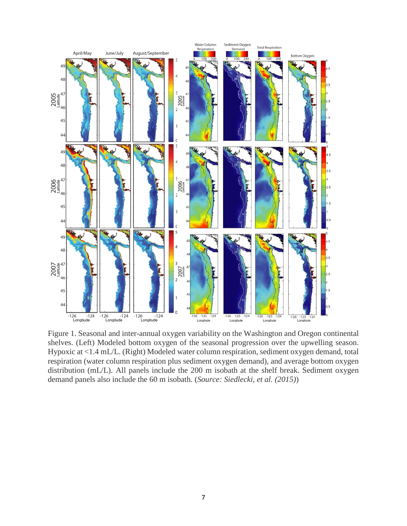

Figure 1. Seasonal and inter-annual oxygen variability on the Washington and Oregon continental shelves. (Left) Modeled bottom oxygen of the seasonal progression over the upwelling season. Hypoxic at <1.4 mL/L. (Right) Modeled water column respiration, sediment oxygen demand, total respiration (water column respiration plus sediment oxygen demand), and average bottom oxygen distribution (mL/L). All panels include the 200 m isobath at the shelf break. Sediment oxygen demand panels also include the 60 m isobath. (*Source: Siedlecki, et al. (2015)*)